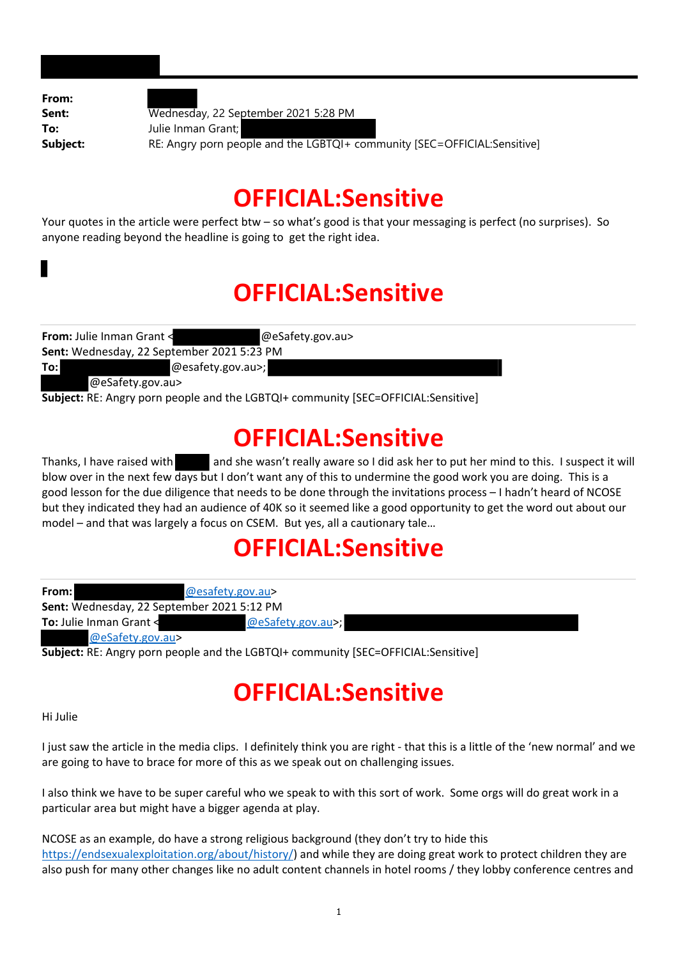| From:    |                                                                           |
|----------|---------------------------------------------------------------------------|
| Sent:    | Wednesday, 22 September 2021 5:28 PM                                      |
| To:      | Julie Inman Grant;                                                        |
| Subject: | RE: Angry porn people and the LGBTQI+ community [SEC=OFFICIAL: Sensitive] |
|          |                                                                           |

## **OFFICIAL:Sensitive**

Your quotes in the article were perfect btw – so what's good is that your messaging is perfect (no surprises). So anyone reading beyond the headline is going to get the right idea.

## **OFFICIAL:Sensitive**

| From: Julie Inman Grant <                         | @eSafety.gov.au>                                                       |
|---------------------------------------------------|------------------------------------------------------------------------|
| <b>Sent:</b> Wednesday, 22 September 2021 5:23 PM |                                                                        |
| To:l<br>@esafety.gov.au>;                         |                                                                        |
| @eSafety.gov.au>                                  |                                                                        |
|                                                   | A L'OCHAR A DE LO COLORADO DE L'ALLANTAIRE DE L'ARTA AFFICIAL A CONTRA |

**Subject:** RE: Angry porn people and the LGBTQI+ community [SEC=OFFICIAL:Sensitive]

### **OFFICIAL:Sensitive**

Thanks, I have raised with and she wasn't really aware so I did ask her to put her mind to this. I suspect it will blow over in the next few days but I don't want any of this to undermine the good work you are doing. This is a good lesson for the due diligence that needs to be done through the invitations process – I hadn't heard of NCOSE but they indicated they had an audience of 40K so it seemed like a good opportunity to get the word out about our model – and that was largely a focus on CSEM. But yes, all a cautionary tale…

## **OFFICIAL:Sensitive**

| From:                          | @esafety.gov.au>                           |
|--------------------------------|--------------------------------------------|
|                                | Sent: Wednesday, 22 September 2021 5:12 PM |
| <b>To:</b> Julie Inman Grant < | @eSafety.gov.au>;                          |
| @eSafety.gov.au>               |                                            |

**Subject:** RE: Angry porn people and the LGBTQI+ community [SEC=OFFICIAL:Sensitive]

## **OFFICIAL:Sensitive**

Hi Julie

I just saw the article in the media clips. I definitely think you are right ‐ that this is a little of the 'new normal' and we are going to have to brace for more of this as we speak out on challenging issues.

I also think we have to be super careful who we speak to with this sort of work. Some orgs will do great work in a particular area but might have a bigger agenda at play.

NCOSE as an example, do have a strong religious background (they don't try to hide this https://endsexualexploitation.org/about/history/) and while they are doing great work to protect children they are also push for many other changes like no adult content channels in hotel rooms / they lobby conference centres and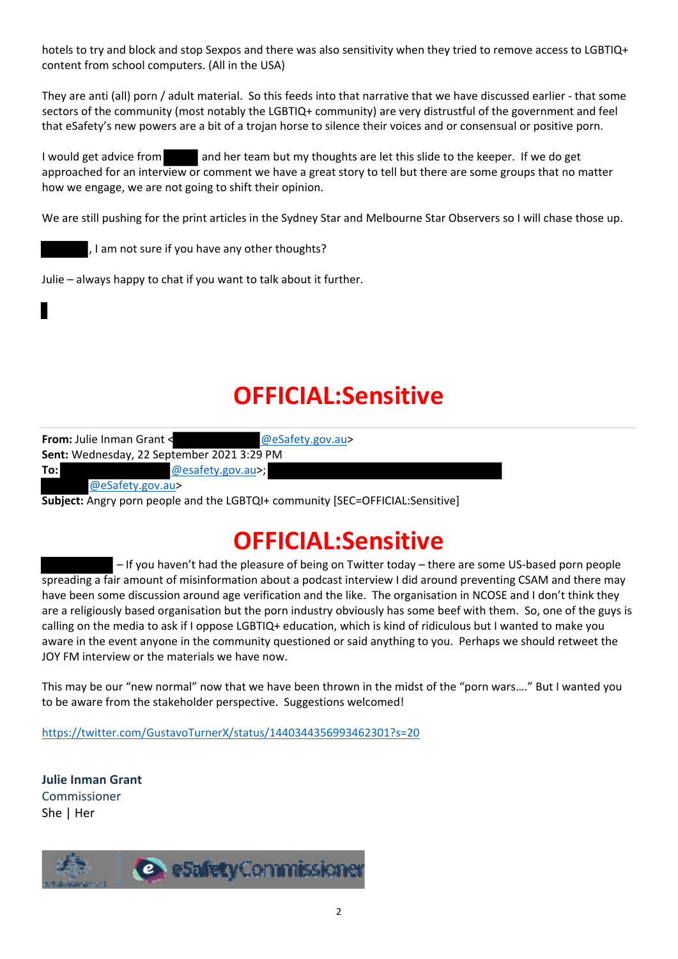hotels to try and block and stop Sexpos and there was also sensitivity when they tried to remove access to LGBTIQ+ content from school computers. (All in the USA)

They are anti (all) porn / adult material. So this feeds into that narrative that we have discussed earlier ‐ that some sectors of the community (most notably the LGBTIQ+ community) are very distrustful of the government and feel that eSafety's new powers are a bit of a trojan horse to silence their voices and or consensual or positive porn.

I would get advice from and her team but my thoughts are let this slide to the keeper. If we do get approached for an interview or comment we have a great story to tell but there are some groups that no matter how we engage, we are not going to shift their opinion.

We are still pushing for the print articles in the Sydney Star and Melbourne Star Observers so I will chase those up.

, I am not sure if you have any other thoughts?

Julie – always happy to chat if you want to talk about it further.

# **OFFICIAL:Sensitive**

| <b>From: Julie Inman Grant &lt;</b>        | @eSafety.gov.au>                                                              |
|--------------------------------------------|-------------------------------------------------------------------------------|
| Sent: Wednesday, 22 September 2021 3:29 PM |                                                                               |
| To:l                                       | @esafety.gov.au>;                                                             |
| @eSafety.gov.au>                           |                                                                               |
|                                            | Subject: Angry porn people and the LGBTQI+ community [SEC=OFFICIAL:Sensitive] |

## **OFFICIAL:Sensitive**

– If you haven't had the pleasure of being on Twitter today – there are some US‐based porn people spreading a fair amount of misinformation about a podcast interview I did around preventing CSAM and there may have been some discussion around age verification and the like. The organisation in NCOSE and I don't think they are a religiously based organisation but the porn industry obviously has some beef with them. So, one of the guys is calling on the media to ask if I oppose LGBTIQ+ education, which is kind of ridiculous but I wanted to make you aware in the event anyone in the community questioned or said anything to you. Perhaps we should retweet the JOY FM interview or the materials we have now.

This may be our "new normal" now that we have been thrown in the midst of the "porn wars…." But I wanted you to be aware from the stakeholder perspective. Suggestions welcomed!

https://twitter.com/GustavoTurnerX/status/1440344356993462301?s=20

**Julie Inman Grant**  Commissioner She | Her